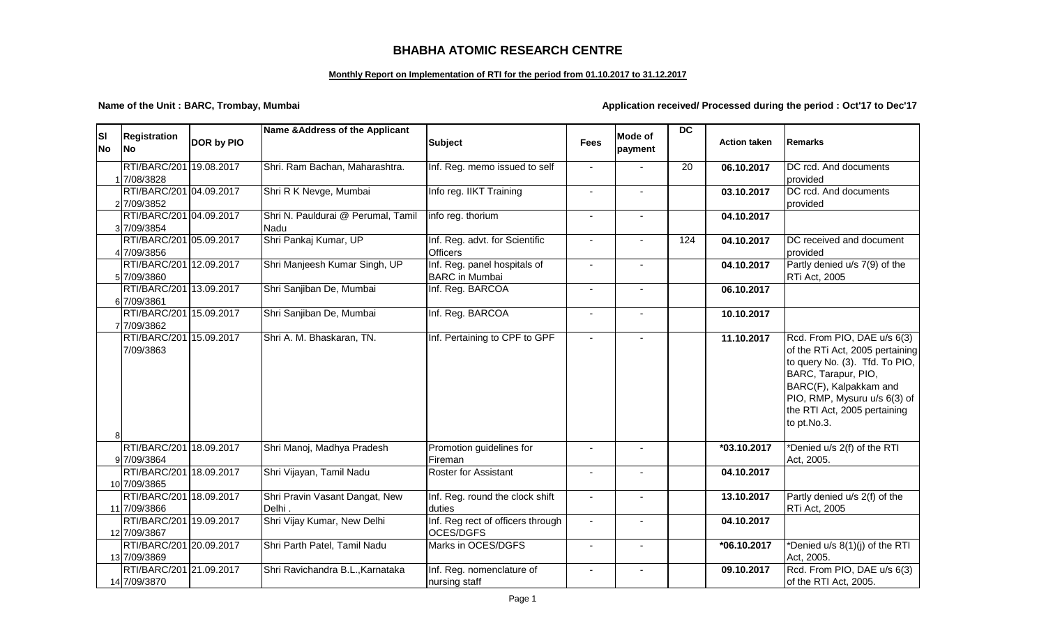## **BHABHA ATOMIC RESEARCH CENTRE**

## **Monthly Report on Implementation of RTI for the period from 01.10.2017 to 31.12.2017**

**Name of the Unit : BARC, Trombay, Mumbai Application received/ Processed during the period : Oct'17 to Dec'17** 

| <b>SI</b><br><b>No</b> | <b>Registration</b><br><b>No</b>        | DOR by PIO | Name & Address of the Applicant            | <b>Subject</b>                                        | <b>Fees</b> | <b>Mode of</b><br>payment | <b>DC</b> | <b>Action taken</b> | <b>Remarks</b>                                                                                                                                                                                                                   |
|------------------------|-----------------------------------------|------------|--------------------------------------------|-------------------------------------------------------|-------------|---------------------------|-----------|---------------------|----------------------------------------------------------------------------------------------------------------------------------------------------------------------------------------------------------------------------------|
|                        | RTI/BARC/201 19.08.2017<br>17/08/3828   |            | Shri. Ram Bachan, Maharashtra.             | Inf. Reg. memo issued to self                         |             |                           | 20        | 06.10.2017          | DC rcd. And documents<br>provided                                                                                                                                                                                                |
|                        | RTI/BARC/201 04.09.2017<br>27/09/3852   |            | Shri R K Nevge, Mumbai                     | Info reg. IIKT Training                               | $\sim$      | $\overline{a}$            |           | 03.10.2017          | DC rcd. And documents<br>provided                                                                                                                                                                                                |
|                        | RTI/BARC/201 04.09.2017<br>3 7/09/3854  |            | Shri N. Pauldurai @ Perumal, Tamil<br>Nadu | info reg. thorium                                     |             |                           |           | 04.10.2017          |                                                                                                                                                                                                                                  |
|                        | RTI/BARC/201 05.09.2017<br>4 7/09/3856  |            | Shri Pankaj Kumar, UP                      | Inf. Reg. advt. for Scientific<br><b>Officers</b>     |             |                           | 124       | 04.10.2017          | DC received and document<br>provided                                                                                                                                                                                             |
|                        | RTI/BARC/201 12.09.2017<br>57/09/3860   |            | Shri Manjeesh Kumar Singh, UP              | Inf. Reg. panel hospitals of<br><b>BARC</b> in Mumbai |             |                           |           | 04.10.2017          | Partly denied u/s 7(9) of the<br>RTi Act, 2005                                                                                                                                                                                   |
|                        | RTI/BARC/201 13.09.2017<br>6 7/09/3861  |            | Shri Sanjiban De, Mumbai                   | Inf. Reg. BARCOA                                      |             |                           |           | 06.10.2017          |                                                                                                                                                                                                                                  |
|                        | RTI/BARC/201 15.09.2017<br>7 7/09/3862  |            | Shri Sanjiban De, Mumbai                   | Inf. Reg. BARCOA                                      |             | $\blacksquare$            |           | 10.10.2017          |                                                                                                                                                                                                                                  |
| 8                      | RTI/BARC/201 15.09.2017<br>7/09/3863    |            | Shri A. M. Bhaskaran, TN.                  | Inf. Pertaining to CPF to GPF                         |             |                           |           | 11.10.2017          | Rcd. From PIO, DAE u/s 6(3)<br>of the RTi Act, 2005 pertaining<br>to query No. (3). Tfd. To PIO,<br>BARC, Tarapur, PIO,<br>BARC(F), Kalpakkam and<br>PIO, RMP, Mysuru u/s 6(3) of<br>the RTI Act, 2005 pertaining<br>to pt.No.3. |
|                        | RTI/BARC/201 18.09.2017<br>9 7/09/3864  |            | Shri Manoj, Madhya Pradesh                 | Promotion guidelines for<br>Fireman                   |             |                           |           | *03.10.2017         | *Denied u/s 2(f) of the RTI<br>Act, 2005.                                                                                                                                                                                        |
|                        | RTI/BARC/201 18.09.2017<br>10 7/09/3865 |            | Shri Vijayan, Tamil Nadu                   | <b>Roster for Assistant</b>                           |             |                           |           | 04.10.2017          |                                                                                                                                                                                                                                  |
|                        | RTI/BARC/201 18.09.2017<br>11 7/09/3866 |            | Shri Pravin Vasant Dangat, New<br>Delhi.   | Inf. Reg. round the clock shift<br>duties             |             |                           |           | 13.10.2017          | Partly denied u/s 2(f) of the<br>RTi Act, 2005                                                                                                                                                                                   |
|                        | RTI/BARC/201 19.09.2017<br>12 7/09/3867 |            | Shri Vijay Kumar, New Delhi                | Inf. Reg rect of officers through<br>OCES/DGFS        |             |                           |           | 04.10.2017          |                                                                                                                                                                                                                                  |
|                        | RTI/BARC/201 20.09.2017<br>13 7/09/3869 |            | Shri Parth Patel, Tamil Nadu               | Marks in OCES/DGFS                                    |             |                           |           | *06.10.2017         | *Denied u/s 8(1)(j) of the RTI<br>Act, 2005.                                                                                                                                                                                     |
|                        | RTI/BARC/201 21.09.2017<br>14 7/09/3870 |            | Shri Ravichandra B.L., Karnataka           | Inf. Reg. nomenclature of<br>nursing staff            |             | $\sim$                    |           | 09.10.2017          | Rcd. From PIO, DAE u/s 6(3)<br>of the RTI Act, 2005.                                                                                                                                                                             |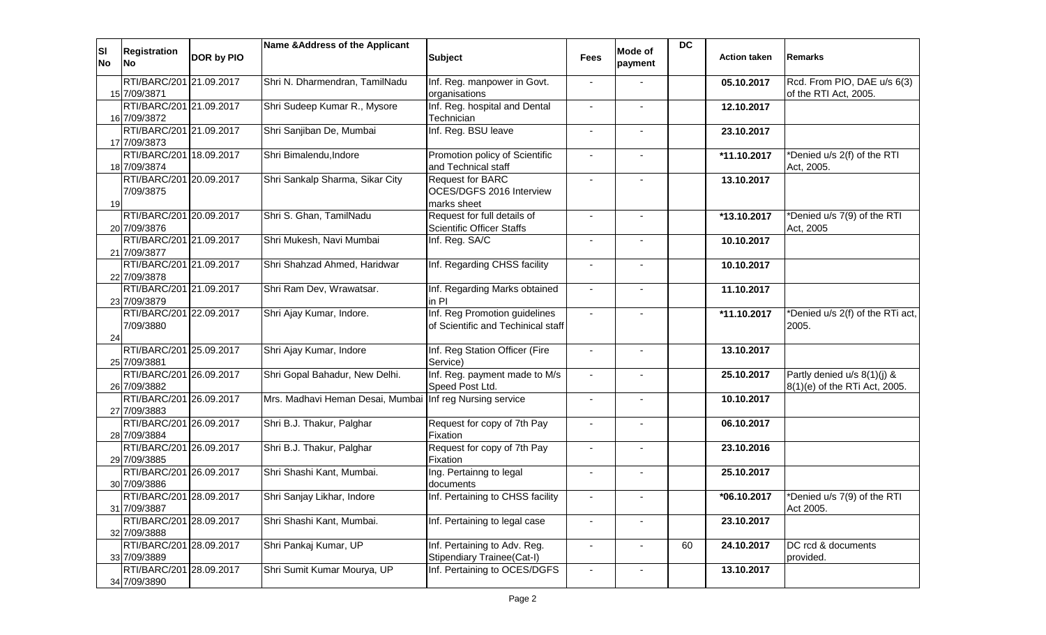| <b>SI</b><br>No | <b>Registration</b><br>lNo l            | DOR by PIO | Name & Address of the Applicant                          | <b>Subject</b>                                                      | <b>Fees</b>              | Mode of<br>payment | <b>DC</b> | <b>Action taken</b> | <b>Remarks</b>                                               |
|-----------------|-----------------------------------------|------------|----------------------------------------------------------|---------------------------------------------------------------------|--------------------------|--------------------|-----------|---------------------|--------------------------------------------------------------|
|                 | RTI/BARC/201 21.09.2017<br>15 7/09/3871 |            | Shri N. Dharmendran, TamilNadu                           | Inf. Reg. manpower in Govt.<br>organisations                        |                          |                    |           | 05.10.2017          | Rcd. From PIO, DAE u/s 6(3)<br>of the RTI Act, 2005.         |
|                 | RTI/BARC/201 21.09.2017<br>16 7/09/3872 |            | Shri Sudeep Kumar R., Mysore                             | Inf. Reg. hospital and Dental<br>Technician                         |                          |                    |           | 12.10.2017          |                                                              |
|                 | RTI/BARC/201 21.09.2017<br>17 7/09/3873 |            | Shri Sanjiban De, Mumbai                                 | Inf. Reg. BSU leave                                                 | $\blacksquare$           |                    |           | 23.10.2017          |                                                              |
|                 | RTI/BARC/201 18.09.2017<br>18 7/09/3874 |            | Shri Bimalendu, Indore                                   | Promotion policy of Scientific<br>and Technical staff               |                          |                    |           | *11.10.2017         | *Denied u/s 2(f) of the RTI<br>Act, 2005.                    |
| 19              | RTI/BARC/201 20.09.2017<br>7/09/3875    |            | Shri Sankalp Sharma, Sikar City                          | <b>Request for BARC</b><br>OCES/DGFS 2016 Interview<br>marks sheet  |                          |                    |           | 13.10.2017          |                                                              |
|                 | RTI/BARC/201 20.09.2017<br>20 7/09/3876 |            | Shri S. Ghan, TamilNadu                                  | Request for full details of<br><b>Scientific Officer Staffs</b>     |                          |                    |           | *13.10.2017         | *Denied u/s 7(9) of the RTI<br>Act, 2005                     |
|                 | RTI/BARC/201 21.09.2017<br>21 7/09/3877 |            | Shri Mukesh, Navi Mumbai                                 | Inf. Reg. SA/C                                                      | $\sim$                   | $\overline{a}$     |           | 10.10.2017          |                                                              |
|                 | RTI/BARC/201 21.09.2017<br>22 7/09/3878 |            | Shri Shahzad Ahmed, Haridwar                             | Inf. Regarding CHSS facility                                        |                          | $\sim$             |           | 10.10.2017          |                                                              |
|                 | RTI/BARC/201 21.09.2017<br>23 7/09/3879 |            | Shri Ram Dev, Wrawatsar.                                 | Inf. Regarding Marks obtained<br>in Pl                              | $\blacksquare$           |                    |           | 11.10.2017          |                                                              |
| 24              | RTI/BARC/201 22.09.2017<br>7/09/3880    |            | Shri Ajay Kumar, Indore.                                 | Inf. Reg Promotion guidelines<br>of Scientific and Techinical staff |                          |                    |           | *11.10.2017         | *Denied u/s 2(f) of the RTi act,<br>2005.                    |
|                 | RTI/BARC/201 25.09.2017<br>25 7/09/3881 |            | Shri Ajay Kumar, Indore                                  | Inf. Reg Station Officer (Fire<br>Service)                          | $\sim$                   | $\blacksquare$     |           | 13.10.2017          |                                                              |
|                 | RTI/BARC/201 26.09.2017<br>26 7/09/3882 |            | Shri Gopal Bahadur, New Delhi.                           | Inf. Reg. payment made to M/s<br>Speed Post Ltd.                    | $\blacksquare$           | $\blacksquare$     |           | 25.10.2017          | Partly denied u/s 8(1)(j) &<br>8(1)(e) of the RTi Act, 2005. |
|                 | RTI/BARC/201 26.09.2017<br>27 7/09/3883 |            | Mrs. Madhavi Heman Desai, Mumbai Inf reg Nursing service |                                                                     | $\blacksquare$           |                    |           | 10.10.2017          |                                                              |
|                 | RTI/BARC/201 26.09.2017<br>28 7/09/3884 |            | Shri B.J. Thakur, Palghar                                | Request for copy of 7th Pay<br>Fixation                             |                          |                    |           | 06.10.2017          |                                                              |
|                 | RTI/BARC/201 26.09.2017<br>29 7/09/3885 |            | Shri B.J. Thakur, Palghar                                | Request for copy of 7th Pay<br>Fixation                             |                          |                    |           | 23.10.2016          |                                                              |
|                 | RTI/BARC/201 26.09.2017<br>30 7/09/3886 |            | Shri Shashi Kant, Mumbai.                                | Ing. Pertainng to legal<br>documents                                |                          |                    |           | 25.10.2017          |                                                              |
|                 | RTI/BARC/201 28.09.2017<br>31 7/09/3887 |            | Shri Sanjay Likhar, Indore                               | Inf. Pertaining to CHSS facility                                    |                          |                    |           | *06.10.2017         | *Denied u/s 7(9) of the RTI<br>Act 2005.                     |
|                 | RTI/BARC/201 28.09.2017<br>32 7/09/3888 |            | Shri Shashi Kant, Mumbai.                                | Inf. Pertaining to legal case                                       |                          |                    |           | 23.10.2017          |                                                              |
|                 | RTI/BARC/201 28.09.2017<br>33 7/09/3889 |            | Shri Pankaj Kumar, UP                                    | Inf. Pertaining to Adv. Reg.<br>Stipendiary Trainee(Cat-I)          | $\overline{\phantom{a}}$ |                    | 60        | 24.10.2017          | DC rcd & documents<br>provided.                              |
|                 | RTI/BARC/201 28.09.2017<br>34 7/09/3890 |            | Shri Sumit Kumar Mourya, UP                              | Inf. Pertaining to OCES/DGFS                                        | $\sim$                   | $\blacksquare$     |           | 13.10.2017          |                                                              |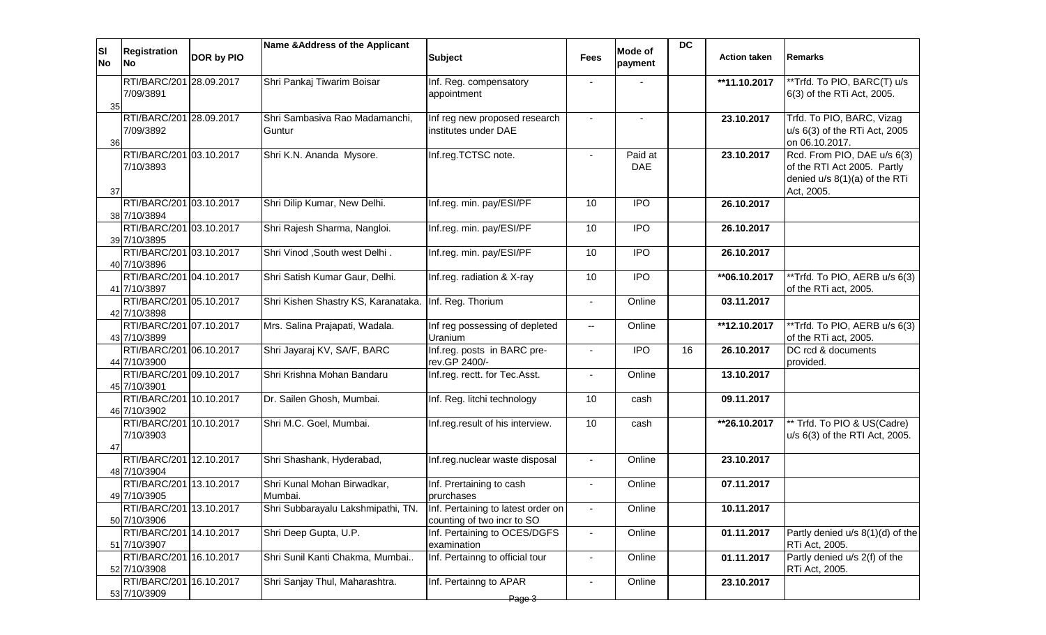| ΙSΙ<br><b>No</b> | <b>Registration</b><br><b>No</b>        | DOR by PIO | Name & Address of the Applicant          | <b>Subject</b>                                                   | <b>Fees</b>              | Mode of<br>payment    | <b>DC</b> | <b>Action taken</b> | <b>Remarks</b>                                                                                            |
|------------------|-----------------------------------------|------------|------------------------------------------|------------------------------------------------------------------|--------------------------|-----------------------|-----------|---------------------|-----------------------------------------------------------------------------------------------------------|
| 35               | RTI/BARC/201 28.09.2017<br>7/09/3891    |            | Shri Pankaj Tiwarim Boisar               | Inf. Reg. compensatory<br>appointment                            |                          |                       |           | **11.10.2017        | **Trfd. To PIO, BARC(T) u/s<br>6(3) of the RTi Act, 2005.                                                 |
| 36               | RTI/BARC/201 28.09.2017<br>7/09/3892    |            | Shri Sambasiva Rao Madamanchi,<br>Guntur | Inf reg new proposed research<br>institutes under DAE            |                          |                       |           | 23.10.2017          | Trfd. To PIO, BARC, Vizag<br>u/s 6(3) of the RTi Act, 2005<br>on 06.10.2017.                              |
| 37               | RTI/BARC/201 03.10.2017<br>7/10/3893    |            | Shri K.N. Ananda Mysore.                 | Inf.reg.TCTSC note.                                              |                          | Paid at<br><b>DAE</b> |           | 23.10.2017          | Rcd. From PIO, DAE u/s 6(3)<br>of the RTI Act 2005. Partly<br>denied u/s 8(1)(a) of the RTi<br>Act, 2005. |
|                  | RTI/BARC/201 03.10.2017<br>38 7/10/3894 |            | Shri Dilip Kumar, New Delhi.             | Inf.reg. min. pay/ESI/PF                                         | 10                       | <b>IPO</b>            |           | 26.10.2017          |                                                                                                           |
|                  | RTI/BARC/201 03.10.2017<br>39 7/10/3895 |            | Shri Rajesh Sharma, Nangloi.             | Inf.reg. min. pay/ESI/PF                                         | 10                       | <b>IPO</b>            |           | 26.10.2017          |                                                                                                           |
|                  | RTI/BARC/201 03.10.2017<br>40 7/10/3896 |            | Shri Vinod , South west Delhi.           | Inf.reg. min. pay/ESI/PF                                         | 10                       | <b>IPO</b>            |           | 26.10.2017          |                                                                                                           |
|                  | RTI/BARC/201 04.10.2017<br>41 7/10/3897 |            | Shri Satish Kumar Gaur, Delhi.           | Inf.reg. radiation & X-ray                                       | 10                       | <b>IPO</b>            |           | **06.10.2017        | **Trfd. To PIO, AERB u/s 6(3)<br>of the RTi act, 2005.                                                    |
|                  | RTI/BARC/201 05.10.2017<br>42 7/10/3898 |            | Shri Kishen Shastry KS, Karanataka.      | Inf. Reg. Thorium                                                | $\blacksquare$           | Online                |           | 03.11.2017          |                                                                                                           |
|                  | RTI/BARC/201 07.10.2017<br>43 7/10/3899 |            | Mrs. Salina Prajapati, Wadala.           | Inf reg possessing of depleted<br>Uranium                        | $\overline{\phantom{a}}$ | Online                |           | **12.10.2017        | **Trfd. To PIO, AERB u/s 6(3)<br>of the RTi act, 2005.                                                    |
|                  | RTI/BARC/201 06.10.2017<br>44 7/10/3900 |            | Shri Jayaraj KV, SA/F, BARC              | Inf.reg. posts in BARC pre-<br>rev.GP 2400/-                     | $\blacksquare$           | <b>IPO</b>            | 16        | 26.10.2017          | DC rcd & documents<br>provided.                                                                           |
|                  | RTI/BARC/201 09.10.2017<br>45 7/10/3901 |            | Shri Krishna Mohan Bandaru               | Inf.reg. rectt. for Tec.Asst.                                    |                          | Online                |           | 13.10.2017          |                                                                                                           |
|                  | RTI/BARC/201 10.10.2017<br>46 7/10/3902 |            | Dr. Sailen Ghosh, Mumbai.                | Inf. Reg. litchi technology                                      | 10                       | cash                  |           | 09.11.2017          |                                                                                                           |
| 47               | RTI/BARC/201 10.10.2017<br>7/10/3903    |            | Shri M.C. Goel, Mumbai.                  | Inf.reg.result of his interview.                                 | 10                       | cash                  |           | **26.10.2017        | ** Trfd. To PIO & US(Cadre)<br>u/s 6(3) of the RTI Act, 2005.                                             |
|                  | RTI/BARC/201 12.10.2017<br>48 7/10/3904 |            | Shri Shashank, Hyderabad,                | Inf.reg.nuclear waste disposal                                   | $\blacksquare$           | Online                |           | 23.10.2017          |                                                                                                           |
|                  | RTI/BARC/201 13.10.2017<br>49 7/10/3905 |            | Shri Kunal Mohan Birwadkar,<br>Mumbai.   | Inf. Prertaining to cash<br>prurchases                           | $\blacksquare$           | Online                |           | 07.11.2017          |                                                                                                           |
|                  | RTI/BARC/201 13.10.2017<br>50 7/10/3906 |            | Shri Subbarayalu Lakshmipathi, TN.       | Inf. Pertaining to latest order on<br>counting of two incr to SO | $\blacksquare$           | Online                |           | 10.11.2017          |                                                                                                           |
|                  | RTI/BARC/201 14.10.2017<br>51 7/10/3907 |            | Shri Deep Gupta, U.P.                    | Inf. Pertaining to OCES/DGFS<br>examination                      | $\sim$                   | Online                |           | 01.11.2017          | Partly denied u/s 8(1)(d) of the<br>RTi Act, 2005.                                                        |
|                  | RTI/BARC/201 16.10.2017<br>52 7/10/3908 |            | Shri Sunil Kanti Chakma, Mumbai          | Inf. Pertainng to official tour                                  |                          | Online                |           | 01.11.2017          | Partly denied $u/s$ 2(f) of the<br>RTi Act, 2005.                                                         |
|                  | RTI/BARC/201 16.10.2017<br>53 7/10/3909 |            | Shri Sanjay Thul, Maharashtra.           | Inf. Pertainng to APAR<br>Page 3                                 |                          | Online                |           | 23.10.2017          |                                                                                                           |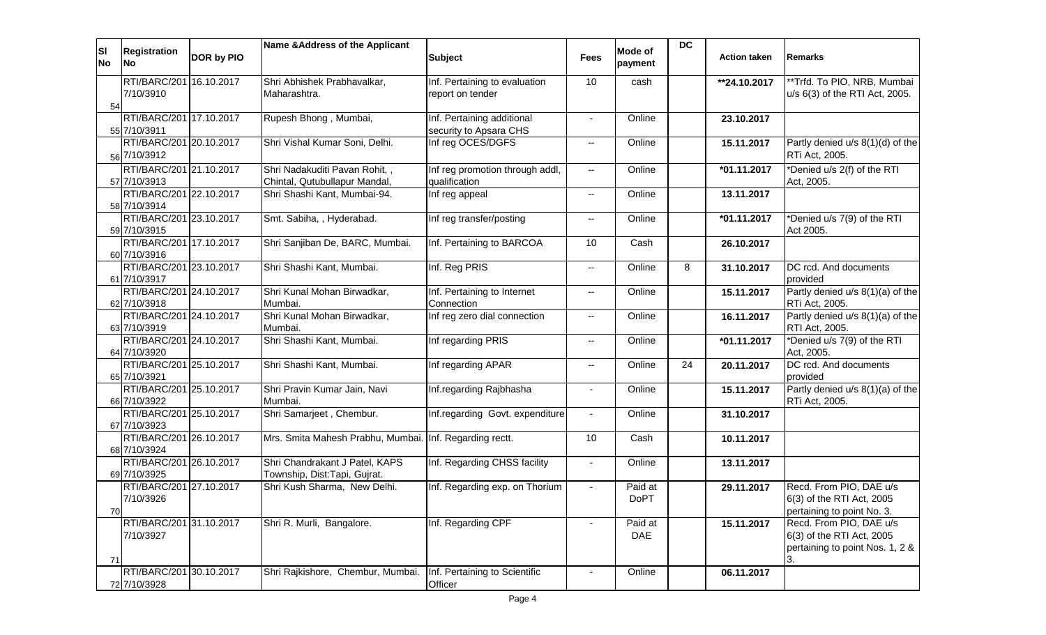| <b>SI</b><br><b>No</b> | <b>Registration</b><br><b>No</b>        | DOR by PIO | Name & Address of the Applicant                                | <b>Subject</b>                                       | <b>Fees</b>              | Mode of<br>payment     | <b>DC</b> | <b>Action taken</b> | <b>Remarks</b>                                                                          |
|------------------------|-----------------------------------------|------------|----------------------------------------------------------------|------------------------------------------------------|--------------------------|------------------------|-----------|---------------------|-----------------------------------------------------------------------------------------|
| 54                     | RTI/BARC/201 16.10.2017<br>7/10/3910    |            | Shri Abhishek Prabhavalkar,<br>Maharashtra.                    | Inf. Pertaining to evaluation<br>report on tender    | 10                       | cash                   |           | **24.10.2017        | **Trfd. To PIO, NRB, Mumbai<br>u/s 6(3) of the RTI Act, 2005.                           |
|                        | RTI/BARC/201 17.10.2017<br>55 7/10/3911 |            | Rupesh Bhong, Mumbai,                                          | Inf. Pertaining additional<br>security to Apsara CHS |                          | Online                 |           | 23.10.2017          |                                                                                         |
|                        | RTI/BARC/201 20.10.2017<br>56 7/10/3912 |            | Shri Vishal Kumar Soni, Delhi.                                 | Inf reg OCES/DGFS                                    | $\mathbf{u}$             | Online                 |           | 15.11.2017          | Partly denied u/s 8(1)(d) of the<br>RTi Act, 2005.                                      |
|                        | RTI/BARC/201 21.10.2017<br>57 7/10/3913 |            | Shri Nadakuditi Pavan Rohit,,<br>Chintal, Qutubullapur Mandal, | Inf reg promotion through addl,<br>qualification     | $\overline{\phantom{a}}$ | Online                 |           | *01.11.2017         | *Denied u/s 2(f) of the RTI<br>Act, 2005.                                               |
|                        | RTI/BARC/201 22.10.2017<br>58 7/10/3914 |            | Shri Shashi Kant, Mumbai-94.                                   | Inf reg appeal                                       | $\mathbf{u}$             | Online                 |           | 13.11.2017          |                                                                                         |
|                        | RTI/BARC/201 23.10.2017<br>59 7/10/3915 |            | Smt. Sabiha, , Hyderabad.                                      | Inf reg transfer/posting                             | $-$                      | Online                 |           | *01.11.2017         | *Denied u/s 7(9) of the RTI<br>Act 2005.                                                |
|                        | RTI/BARC/201 17.10.2017<br>60 7/10/3916 |            | Shri Sanjiban De, BARC, Mumbai.                                | Inf. Pertaining to BARCOA                            | 10                       | Cash                   |           | 26.10.2017          |                                                                                         |
|                        | RTI/BARC/201 23.10.2017<br>61 7/10/3917 |            | Shri Shashi Kant, Mumbai.                                      | Inf. Reg PRIS                                        | $\overline{\phantom{a}}$ | Online                 | 8         | 31.10.2017          | DC rcd. And documents<br>provided                                                       |
|                        | RTI/BARC/201 24.10.2017<br>62 7/10/3918 |            | Shri Kunal Mohan Birwadkar,<br>Mumbai.                         | Inf. Pertaining to Internet<br>Connection            | $-$                      | Online                 |           | 15.11.2017          | Partly denied u/s 8(1)(a) of the<br>RTi Act, 2005.                                      |
|                        | RTI/BARC/201 24.10.2017<br>63 7/10/3919 |            | Shri Kunal Mohan Birwadkar,<br>Mumbai.                         | Inf reg zero dial connection                         | $\overline{\phantom{a}}$ | Online                 |           | 16.11.2017          | Partly denied u/s 8(1)(a) of the<br>RTI Act, 2005.                                      |
|                        | RTI/BARC/201 24.10.2017<br>64 7/10/3920 |            | Shri Shashi Kant, Mumbai.                                      | Inf regarding PRIS                                   | $\overline{\phantom{a}}$ | Online                 |           | *01.11.2017         | *Denied u/s 7(9) of the RTI<br>Act, 2005.                                               |
|                        | RTI/BARC/201 25.10.2017<br>65 7/10/3921 |            | Shri Shashi Kant, Mumbai.                                      | Inf regarding APAR                                   | $-$                      | Online                 | 24        | 20.11.2017          | DC rcd. And documents<br>provided                                                       |
|                        | RTI/BARC/201 25.10.2017<br>66 7/10/3922 |            | Shri Pravin Kumar Jain, Navi<br>Mumbai.                        | Inf.regarding Rajbhasha                              | $\sim$                   | Online                 |           | 15.11.2017          | Partly denied u/s 8(1)(a) of the<br>RTi Act, 2005.                                      |
|                        | RTI/BARC/201 25.10.2017<br>67 7/10/3923 |            | Shri Samarjeet, Chembur.                                       | Inf.regarding Govt. expenditure                      | $\blacksquare$           | Online                 |           | 31.10.2017          |                                                                                         |
|                        | RTI/BARC/201 26.10.2017<br>68 7/10/3924 |            | Mrs. Smita Mahesh Prabhu, Mumbai. Inf. Regarding rectt.        |                                                      | 10                       | Cash                   |           | 10.11.2017          |                                                                                         |
|                        | RTI/BARC/201 26.10.2017<br>69 7/10/3925 |            | Shri Chandrakant J Patel, KAPS<br>Township, Dist:Tapi, Gujrat. | Inf. Regarding CHSS facility                         | $\blacksquare$           | Online                 |           | 13.11.2017          |                                                                                         |
| 70                     | RTI/BARC/201 27.10.2017<br>7/10/3926    |            | Shri Kush Sharma, New Delhi.                                   | Inf. Regarding exp. on Thorium                       |                          | Paid at<br><b>DoPT</b> |           | 29.11.2017          | Recd. From PIO, DAE u/s<br>6(3) of the RTI Act, 2005<br>pertaining to point No. 3.      |
| 71                     | RTI/BARC/201 31.10.2017<br>7/10/3927    |            | Shri R. Murli, Bangalore.                                      | Inf. Regarding CPF                                   |                          | Paid at<br>DAE         |           | 15.11.2017          | Recd. From PIO, DAE u/s<br>6(3) of the RTI Act, 2005<br>pertaining to point Nos. 1, 2 & |
|                        | RTI/BARC/201 30.10.2017<br>72 7/10/3928 |            | Shri Rajkishore, Chembur, Mumbai.                              | Inf. Pertaining to Scientific<br>Officer             |                          | Online                 |           | 06.11.2017          |                                                                                         |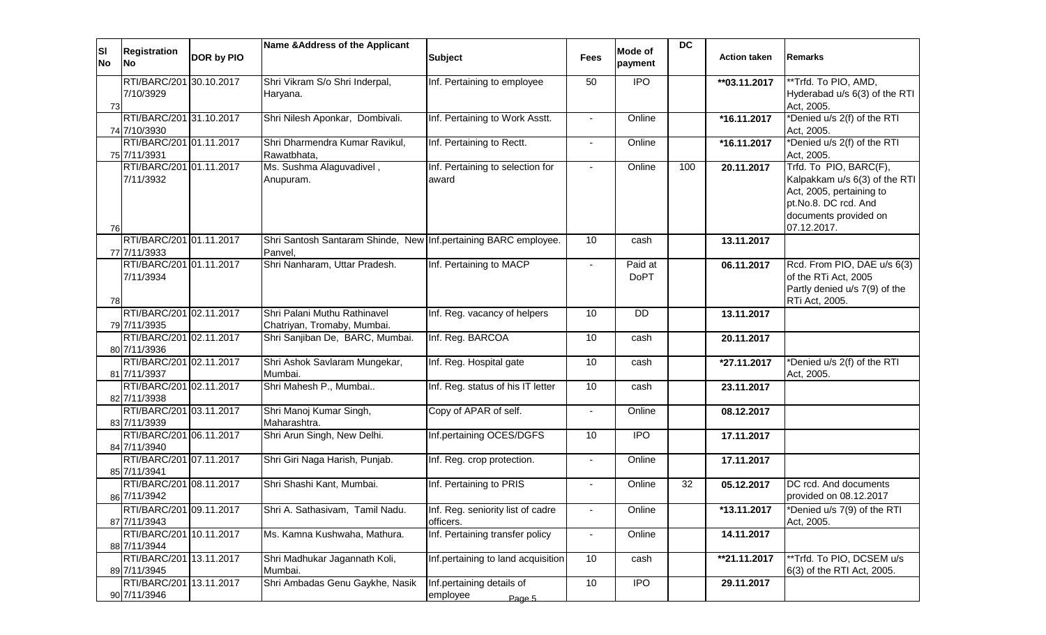|                        |                                         |            | Name & Address of the Applicant                                            |                                    |                |                    | <b>DC</b> |                          |                                           |
|------------------------|-----------------------------------------|------------|----------------------------------------------------------------------------|------------------------------------|----------------|--------------------|-----------|--------------------------|-------------------------------------------|
| <b>SI</b><br><b>No</b> | <b>Registration</b><br><b>No</b>        | DOR by PIO |                                                                            | <b>Subject</b>                     | <b>Fees</b>    | Mode of<br>payment |           | <b>Action taken</b>      | <b>Remarks</b>                            |
|                        | RTI/BARC/201 30.10.2017                 |            | Shri Vikram S/o Shri Inderpal,                                             | Inf. Pertaining to employee        | 50             | <b>IPO</b>         |           | **03.11.2017             | **Trfd. To PIO, AMD,                      |
|                        | 7/10/3929                               |            | Haryana.                                                                   |                                    |                |                    |           |                          | Hyderabad u/s 6(3) of the RTI             |
| 73                     |                                         |            |                                                                            |                                    |                |                    |           |                          | Act, 2005.                                |
|                        | RTI/BARC/201 31.10.2017                 |            | Shri Nilesh Aponkar, Dombivali.                                            | Inf. Pertaining to Work Asstt.     | $\sim$         | Online             |           | *16.11.2017              | *Denied u/s 2(f) of the RTI               |
|                        | 74 7/10/3930                            |            |                                                                            |                                    |                |                    |           |                          | Act, 2005.                                |
|                        | RTI/BARC/201 01.11.2017<br>75 7/11/3931 |            | Shri Dharmendra Kumar Ravikul,<br>Rawatbhata,                              | Inf. Pertaining to Rectt.          | $\sim$         | Online             |           | $\overline{1}$ 6.11.2017 | *Denied u/s 2(f) of the RTI<br>Act, 2005. |
|                        | RTI/BARC/201 01.11.2017                 |            | Ms. Sushma Alaguvadivel,                                                   | Inf. Pertaining to selection for   | $\sim$         | Online             | 100       | 20.11.2017               | Trfd. To PIO, BARC(F),                    |
|                        | 7/11/3932                               |            | Anupuram.                                                                  | award                              |                |                    |           |                          | Kalpakkam u/s 6(3) of the RTI             |
|                        |                                         |            |                                                                            |                                    |                |                    |           |                          | Act, 2005, pertaining to                  |
|                        |                                         |            |                                                                            |                                    |                |                    |           |                          | pt.No.8. DC rcd. And                      |
|                        |                                         |            |                                                                            |                                    |                |                    |           |                          | documents provided on                     |
| 76                     |                                         |            |                                                                            |                                    |                |                    |           |                          | 07.12.2017.                               |
|                        | RTI/BARC/201 01.11.2017<br>77 7/11/3933 |            | Shri Santosh Santaram Shinde, New Inf.pertaining BARC employee.<br>Panvel. |                                    | 10             | cash               |           | 13.11.2017               |                                           |
|                        | RTI/BARC/201 01.11.2017                 |            | Shri Nanharam, Uttar Pradesh.                                              | Inf. Pertaining to MACP            | $\blacksquare$ | Paid at            |           | 06.11.2017               | Rcd. From PIO, DAE u/s 6(3)               |
|                        | 7/11/3934                               |            |                                                                            |                                    |                | <b>DoPT</b>        |           |                          | of the RTi Act, 2005                      |
|                        |                                         |            |                                                                            |                                    |                |                    |           |                          | Partly denied u/s 7(9) of the             |
| 78                     |                                         |            |                                                                            |                                    |                |                    |           |                          | RTi Act, 2005.                            |
|                        | RTI/BARC/201 02.11.2017                 |            | Shri Palani Muthu Rathinavel                                               | Inf. Reg. vacancy of helpers       | 10             | DD                 |           | 13.11.2017               |                                           |
|                        | 79 7/11/3935                            |            | Chatriyan, Tromaby, Mumbai.                                                |                                    |                |                    |           |                          |                                           |
|                        | RTI/BARC/201 02.11.2017                 |            | Shri Sanjiban De, BARC, Mumbai.                                            | Inf. Reg. BARCOA                   | 10             | cash               |           | 20.11.2017               |                                           |
|                        | 80 7/11/3936                            |            |                                                                            |                                    | 10             |                    |           |                          |                                           |
|                        | RTI/BARC/201 02.11.2017<br>81 7/11/3937 |            | Shri Ashok Savlaram Mungekar,<br>Mumbai.                                   | Inf. Reg. Hospital gate            |                | cash               |           | $\overline{27.11.2017}$  | *Denied u/s 2(f) of the RTI<br>Act, 2005. |
|                        | RTI/BARC/201 02.11.2017                 |            | Shri Mahesh P., Mumbai                                                     | Inf. Reg. status of his IT letter  | 10             | cash               |           | 23.11.2017               |                                           |
|                        | 82 7/11/3938                            |            |                                                                            |                                    |                |                    |           |                          |                                           |
|                        | RTI/BARC/201 03.11.2017                 |            | Shri Manoj Kumar Singh,                                                    | Copy of APAR of self.              | $\blacksquare$ | Online             |           | 08.12.2017               |                                           |
|                        | 83 7/11/3939                            |            | Maharashtra.                                                               |                                    |                |                    |           |                          |                                           |
|                        | RTI/BARC/201 06.11.2017                 |            | Shri Arun Singh, New Delhi.                                                | Inf.pertaining OCES/DGFS           | 10             | <b>IPO</b>         |           | 17.11.2017               |                                           |
|                        | 84 7/11/3940                            |            |                                                                            |                                    |                |                    |           |                          |                                           |
|                        | RTI/BARC/201 07.11.2017                 |            | Shri Giri Naga Harish, Punjab.                                             | Inf. Reg. crop protection.         | $\blacksquare$ | Online             |           | 17.11.2017               |                                           |
|                        | 85 7/11/3941                            |            |                                                                            |                                    |                |                    |           |                          |                                           |
|                        | RTI/BARC/201 08.11.2017                 |            | Shri Shashi Kant, Mumbai.                                                  | Inf. Pertaining to PRIS            | $\blacksquare$ | Online             | 32        | 05.12.2017               | DC rcd. And documents                     |
|                        | 86 7/11/3942                            |            |                                                                            |                                    |                |                    |           |                          | provided on 08.12.2017                    |
|                        | RTI/BARC/201 09.11.2017                 |            | Shri A. Sathasivam, Tamil Nadu.                                            | Inf. Reg. seniority list of cadre  | $\blacksquare$ | Online             |           | *13.11.2017              | *Denied u/s 7(9) of the RTI               |
|                        | 87 7/11/3943                            |            |                                                                            | officers.                          |                |                    |           |                          | Act, 2005.                                |
|                        | RTI/BARC/201 10.11.2017                 |            | Ms. Kamna Kushwaha, Mathura.                                               | Inf. Pertaining transfer policy    | $\sim$         | Online             |           | 14.11.2017               |                                           |
|                        | 88 7/11/3944                            |            |                                                                            |                                    |                |                    |           |                          |                                           |
|                        | RTI/BARC/201 13.11.2017<br>89 7/11/3945 |            | Shri Madhukar Jagannath Koli,<br>Mumbai.                                   | Inf.pertaining to land acquisition | 10             | cash               |           | **21.11.2017             | **Trfd. To PIO, DCSEM u/s                 |
|                        | RTI/BARC/201 13.11.2017                 |            | Shri Ambadas Genu Gaykhe, Nasik                                            | Inf.pertaining details of          | 10             | <b>IPO</b>         |           | 29.11.2017               | 6(3) of the RTI Act, 2005.                |
|                        | 90 7/11/3946                            |            |                                                                            | employee                           |                |                    |           |                          |                                           |
|                        |                                         |            |                                                                            | Page 5                             |                |                    |           |                          |                                           |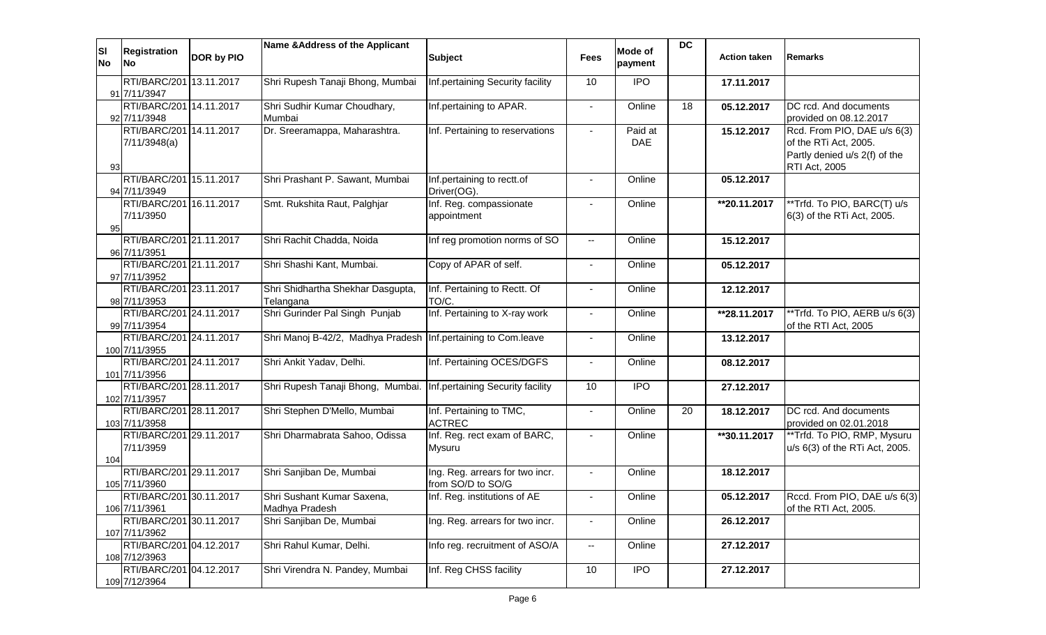| <b>SI</b><br><b>No</b> | <b>Registration</b><br><b>No</b>         | DOR by PIO | Name & Address of the Applicant                                    | <b>Subject</b>                                       | <b>Fees</b>                                   | Mode of<br>payment    | <b>DC</b> | <b>Action taken</b>        | <b>Remarks</b>                                                                                         |
|------------------------|------------------------------------------|------------|--------------------------------------------------------------------|------------------------------------------------------|-----------------------------------------------|-----------------------|-----------|----------------------------|--------------------------------------------------------------------------------------------------------|
|                        | RTI/BARC/201 13.11.2017<br>91 7/11/3947  |            | Shri Rupesh Tanaji Bhong, Mumbai                                   | Inf.pertaining Security facility                     | 10                                            | <b>IPO</b>            |           | 17.11.2017                 |                                                                                                        |
|                        | RTI/BARC/201 14.11.2017<br>92 7/11/3948  |            | Shri Sudhir Kumar Choudhary,<br>Mumbai                             | Inf.pertaining to APAR.                              | $\blacksquare$                                | Online                | 18        | 05.12.2017                 | DC rcd. And documents<br>provided on 08.12.2017                                                        |
| 93                     | RTI/BARC/201 14.11.2017<br>7/11/3948(a)  |            | Dr. Sreeramappa, Maharashtra.                                      | Inf. Pertaining to reservations                      |                                               | Paid at<br><b>DAE</b> |           | 15.12.2017                 | Rcd. From PIO, DAE u/s 6(3)<br>of the RTi Act, 2005.<br>Partly denied u/s 2(f) of the<br>RTI Act, 2005 |
|                        | RTI/BARC/201 15.11.2017<br>94 7/11/3949  |            | Shri Prashant P. Sawant, Mumbai                                    | Inf.pertaining to rectt.of<br>Driver(OG).            |                                               | Online                |           | 05.12.2017                 |                                                                                                        |
| 95                     | RTI/BARC/201 16.11.2017<br>7/11/3950     |            | Smt. Rukshita Raut, Palghjar                                       | Inf. Reg. compassionate<br>appointment               |                                               | Online                |           | **20.11.2017               | **Trfd. To PIO, BARC(T) u/s<br>6(3) of the RTi Act, 2005.                                              |
|                        | RTI/BARC/201 21.11.2017<br>96 7/11/3951  |            | Shri Rachit Chadda, Noida                                          | Inf reg promotion norms of SO                        | $\overline{\phantom{a}}$                      | Online                |           | 15.12.2017                 |                                                                                                        |
|                        | RTI/BARC/201 21.11.2017<br>97 7/11/3952  |            | Shri Shashi Kant, Mumbai.                                          | Copy of APAR of self.                                | $\blacksquare$                                | Online                |           | 05.12.2017                 |                                                                                                        |
|                        | RTI/BARC/201 23.11.2017<br>98 7/11/3953  |            | Shri Shidhartha Shekhar Dasgupta,<br>Telangana                     | Inf. Pertaining to Rectt. Of<br>TO/C.                |                                               | Online                |           | 12.12.2017                 |                                                                                                        |
|                        | RTI/BARC/201 24.11.2017<br>99 7/11/3954  |            | Shri Gurinder Pal Singh Punjab                                     | Inf. Pertaining to X-ray work                        |                                               | Online                |           | **28.11.2017               | **Trfd. To PIO, AERB u/s 6(3)<br>of the RTI Act, 2005                                                  |
|                        | RTI/BARC/201 24.11.2017<br>100 7/11/3955 |            | Shri Manoj B-42/2, Madhya Pradesh Inf.pertaining to Com.leave      |                                                      | $\blacksquare$                                | Online                |           | 13.12.2017                 |                                                                                                        |
|                        | RTI/BARC/201 24.11.2017<br>101 7/11/3956 |            | Shri Ankit Yadav, Delhi.                                           | Inf. Pertaining OCES/DGFS                            | $\blacksquare$                                | Online                |           | 08.12.2017                 |                                                                                                        |
|                        | RTI/BARC/201 28.11.2017<br>102 7/11/3957 |            | Shri Rupesh Tanaji Bhong, Mumbai. Inf.pertaining Security facility |                                                      | 10                                            | <b>IPO</b>            |           | 27.12.2017                 |                                                                                                        |
|                        | RTI/BARC/201 28.11.2017<br>103 7/11/3958 |            | Shri Stephen D'Mello, Mumbai                                       | Inf. Pertaining to TMC,<br><b>ACTREC</b>             | $\blacksquare$                                | Online                | 20        | 18.12.2017                 | DC rcd. And documents<br>provided on 02.01.2018                                                        |
| 104                    | RTI/BARC/201 29.11.2017<br>7/11/3959     |            | Shri Dharmabrata Sahoo, Odissa                                     | Inf. Reg. rect exam of BARC,<br><b>Mysuru</b>        |                                               | Online                |           | $\overline{14}$ 30.11.2017 | **Trfd. To PIO, RMP, Mysuru<br>u/s 6(3) of the RTi Act, 2005.                                          |
|                        | RTI/BARC/201 29.11.2017<br>105 7/11/3960 |            | Shri Sanjiban De, Mumbai                                           | Ing. Reg. arrears for two incr.<br>from SO/D to SO/G | $\blacksquare$                                | Online                |           | 18.12.2017                 |                                                                                                        |
|                        | RTI/BARC/201 30.11.2017<br>106 7/11/3961 |            | Shri Sushant Kumar Saxena,<br>Madhya Pradesh                       | Inf. Reg. institutions of AE                         |                                               | Online                |           | 05.12.2017                 | Rccd. From PIO, DAE u/s 6(3)<br>of the RTI Act, 2005.                                                  |
|                        | RTI/BARC/201 30.11.2017<br>107 7/11/3962 |            | Shri Sanjiban De, Mumbai                                           | Ing. Reg. arrears for two incr.                      |                                               | Online                |           | 26.12.2017                 |                                                                                                        |
|                        | RTI/BARC/201 04.12.2017<br>108 7/12/3963 |            | Shri Rahul Kumar, Delhi.                                           | Info reg. recruitment of ASO/A                       | $\mathord{\hspace{1pt}\text{--}\hspace{1pt}}$ | Online                |           | 27.12.2017                 |                                                                                                        |
|                        | RTI/BARC/201 04.12.2017<br>109 7/12/3964 |            | Shri Virendra N. Pandey, Mumbai                                    | Inf. Reg CHSS facility                               | 10                                            | <b>IPO</b>            |           | 27.12.2017                 |                                                                                                        |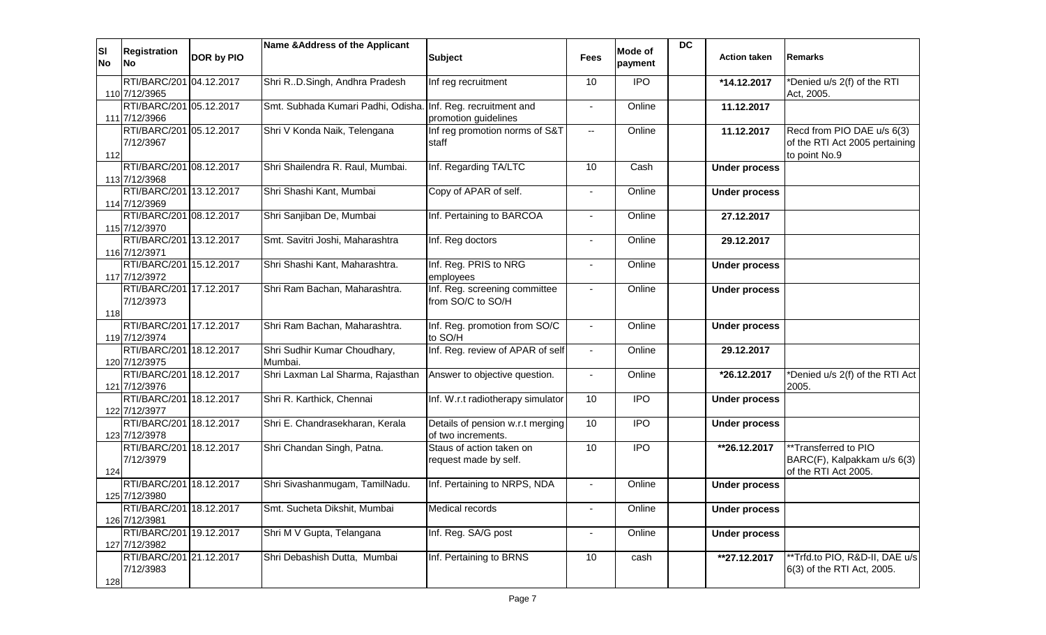| ΙSΙ<br><b>No</b> | <b>Registration</b><br><b>No</b>         | DOR by PIO | Name & Address of the Applicant                              | <b>Subject</b>                                         | <b>Fees</b>              | Mode of<br>payment | <b>DC</b> | <b>Action taken</b>      | <b>Remarks</b>                                                                |
|------------------|------------------------------------------|------------|--------------------------------------------------------------|--------------------------------------------------------|--------------------------|--------------------|-----------|--------------------------|-------------------------------------------------------------------------------|
|                  | RTI/BARC/201 04.12.2017                  |            | Shri RD.Singh, Andhra Pradesh                                | Inf reg recruitment                                    | 10                       | <b>IPO</b>         |           | *14.12.2017              | *Denied u/s 2(f) of the RTI                                                   |
|                  | 110 7/12/3965                            |            |                                                              |                                                        |                          |                    |           |                          | Act, 2005.                                                                    |
|                  | RTI/BARC/201 05.12.2017<br>111 7/12/3966 |            | Smt. Subhada Kumari Padhi, Odisha. Inf. Reg. recruitment and | promotion guidelines                                   |                          | Online             |           | 11.12.2017               |                                                                               |
| 112              | RTI/BARC/201 05.12.2017<br>7/12/3967     |            | Shri V Konda Naik, Telengana                                 | Inf reg promotion norms of S&T<br>staff                | $-$                      | Online             |           | 11.12.2017               | Recd from PIO DAE u/s 6(3)<br>of the RTI Act 2005 pertaining<br>to point No.9 |
|                  | RTI/BARC/201 08.12.2017<br>113 7/12/3968 |            | Shri Shailendra R. Raul, Mumbai.                             | Inf. Regarding TA/LTC                                  | 10                       | Cash               |           | <b>Under process</b>     |                                                                               |
|                  | RTI/BARC/201 13.12.2017                  |            | Shri Shashi Kant, Mumbai                                     | Copy of APAR of self.                                  | $\sim$                   | Online             |           | <b>Under process</b>     |                                                                               |
|                  | 114 7/12/3969                            |            |                                                              |                                                        |                          |                    |           |                          |                                                                               |
|                  | RTI/BARC/201 08.12.2017                  |            | Shri Sanjiban De, Mumbai                                     | Inf. Pertaining to BARCOA                              | $\sim$                   | Online             |           | 27.12.2017               |                                                                               |
|                  | 115 7/12/3970<br>RTI/BARC/201 13.12.2017 |            | Smt. Savitri Joshi, Maharashtra                              | Inf. Reg doctors                                       | $\sim$                   | Online             |           | 29.12.2017               |                                                                               |
|                  | 116 7/12/3971                            |            |                                                              |                                                        |                          |                    |           |                          |                                                                               |
|                  | RTI/BARC/201 15.12.2017                  |            | Shri Shashi Kant, Maharashtra.                               | Inf. Reg. PRIS to NRG                                  | $\overline{\phantom{a}}$ | Online             |           | <b>Under process</b>     |                                                                               |
|                  | 117 7/12/3972                            |            |                                                              | employees                                              |                          |                    |           |                          |                                                                               |
|                  | RTI/BARC/201 17.12.2017<br>7/12/3973     |            | Shri Ram Bachan, Maharashtra.                                | Inf. Reg. screening committee<br>from SO/C to SO/H     |                          | Online             |           | <b>Under process</b>     |                                                                               |
| 118              | RTI/BARC/201 17.12.2017                  |            | Shri Ram Bachan, Maharashtra.                                | Inf. Reg. promotion from SO/C                          | $\sim$                   | Online             |           | <b>Under process</b>     |                                                                               |
|                  | 119 7/12/3974                            |            |                                                              | to SO/H                                                |                          |                    |           |                          |                                                                               |
|                  | RTI/BARC/201 18.12.2017<br>120 7/12/3975 |            | Shri Sudhir Kumar Choudhary,<br>Mumbai.                      | Inf. Reg. review of APAR of self                       | $\sim$                   | Online             |           | 29.12.2017               |                                                                               |
|                  | RTI/BARC/201 18.12.2017<br>121 7/12/3976 |            | Shri Laxman Lal Sharma, Rajasthan                            | Answer to objective question.                          | $\sim$                   | Online             |           | *26.12.2017              | *Denied u/s 2(f) of the RTI Act<br>2005.                                      |
|                  | RTI/BARC/201 18.12.2017<br>122 7/12/3977 |            | Shri R. Karthick, Chennai                                    | Inf. W.r.t radiotherapy simulator                      | 10                       | <b>IPO</b>         |           | <b>Under process</b>     |                                                                               |
|                  | RTI/BARC/201 18.12.2017<br>123 7/12/3978 |            | Shri E. Chandrasekharan, Kerala                              | Details of pension w.r.t merging<br>of two increments. | 10                       | <b>IPO</b>         |           | <b>Under process</b>     |                                                                               |
| 124              | RTI/BARC/201 18.12.2017<br>7/12/3979     |            | Shri Chandan Singh, Patna.                                   | Staus of action taken on<br>request made by self.      | 10                       | $\overline{1}$     |           | $\overline{126.12.2017}$ | **Transferred to PIO<br>BARC(F), Kalpakkam u/s 6(3)<br>of the RTI Act 2005.   |
|                  | RTI/BARC/201 18.12.2017                  |            | Shri Sivashanmugam, TamilNadu.                               | Inf. Pertaining to NRPS, NDA                           |                          | Online             |           | <b>Under process</b>     |                                                                               |
|                  | 125 7/12/3980                            |            |                                                              |                                                        |                          |                    |           |                          |                                                                               |
|                  | RTI/BARC/201 18.12.2017<br>126 7/12/3981 |            | Smt. Sucheta Dikshit, Mumbai                                 | Medical records                                        | $\blacksquare$           | Online             |           | <b>Under process</b>     |                                                                               |
|                  | RTI/BARC/201 19.12.2017<br>127 7/12/3982 |            | Shri M V Gupta, Telangana                                    | Inf. Reg. SA/G post                                    | $\blacksquare$           | Online             |           | <b>Under process</b>     |                                                                               |
| 128              | RTI/BARC/201 21.12.2017<br>7/12/3983     |            | Shri Debashish Dutta, Mumbai                                 | Inf. Pertaining to BRNS                                | 10                       | cash               |           | **27.12.2017             | **Trfd.to PIO, R&D-II, DAE u/s<br>6(3) of the RTI Act, 2005.                  |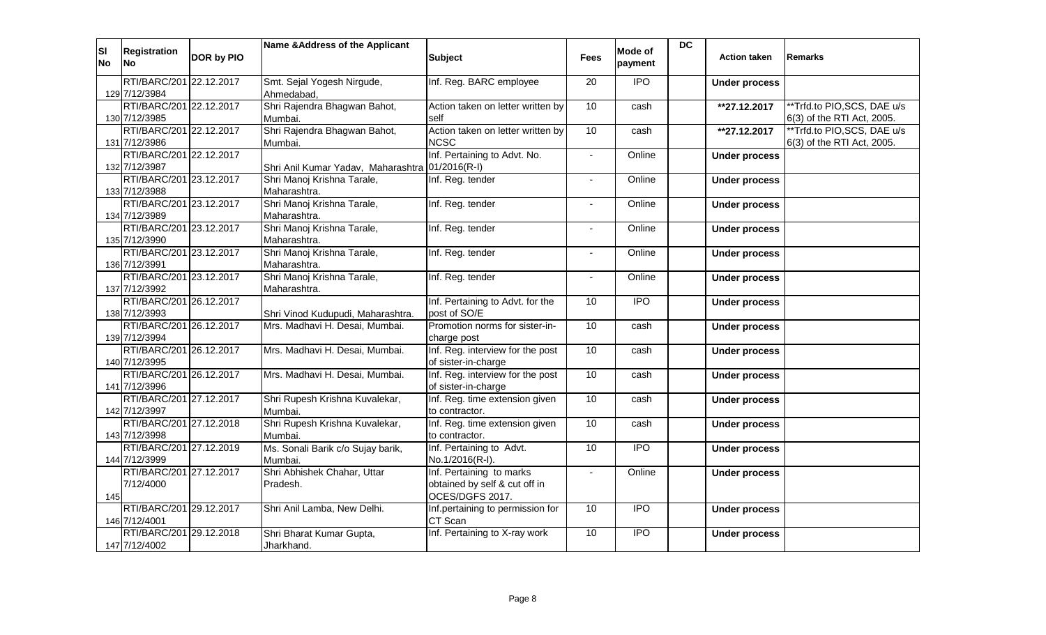| <b>SI</b><br><b>No</b> | Registration<br><b>INo</b>               | <b>DOR by PIO</b> | Name & Address of the Applicant                 | <b>Subject</b>                                                               | <b>Fees</b>     | <b>Mode of</b><br>payment | $\overline{DC}$ | <b>Action taken</b>      | <b>Remarks</b>                                            |
|------------------------|------------------------------------------|-------------------|-------------------------------------------------|------------------------------------------------------------------------------|-----------------|---------------------------|-----------------|--------------------------|-----------------------------------------------------------|
|                        | RTI/BARC/201 22.12.2017<br>129 7/12/3984 |                   | Smt. Sejal Yogesh Nirgude,<br>Ahmedabad,        | Inf. Reg. BARC employee                                                      | 20              | $\overline{1}$            |                 | <b>Under process</b>     |                                                           |
|                        | RTI/BARC/201 22.12.2017<br>130 7/12/3985 |                   | Shri Rajendra Bhagwan Bahot,<br>Mumbai.         | Action taken on letter written by<br>self                                    | 10 <sup>1</sup> | cash                      |                 | **27.12.2017             | **Trfd.to PIO,SCS, DAE u/s<br>6(3) of the RTI Act, 2005.  |
|                        | RTI/BARC/201 22.12.2017<br>131 7/12/3986 |                   | Shri Rajendra Bhagwan Bahot,<br>Mumbai.         | Action taken on letter written by<br><b>NCSC</b>                             | $\overline{10}$ | cash                      |                 | $\overline{127.12.2017}$ | **Trfd.to PIO, SCS, DAE u/s<br>6(3) of the RTI Act, 2005. |
|                        | RTI/BARC/201 22.12.2017<br>132 7/12/3987 |                   | Shri Anil Kumar Yadav, Maharashtra 01/2016(R-I) | Inf. Pertaining to Advt. No.                                                 | $\blacksquare$  | Online                    |                 | <b>Under process</b>     |                                                           |
|                        | RTI/BARC/201 23.12.2017<br>133 7/12/3988 |                   | Shri Manoj Krishna Tarale,<br>Maharashtra.      | Inf. Reg. tender                                                             | $\blacksquare$  | Online                    |                 | <b>Under process</b>     |                                                           |
|                        | RTI/BARC/201 23.12.2017<br>134 7/12/3989 |                   | Shri Manoj Krishna Tarale,<br>Maharashtra.      | Inf. Reg. tender                                                             | $\blacksquare$  | Online                    |                 | <b>Under process</b>     |                                                           |
|                        | RTI/BARC/201 23.12.2017<br>135 7/12/3990 |                   | Shri Manoj Krishna Tarale,<br>Maharashtra.      | Inf. Reg. tender                                                             | $\blacksquare$  | Online                    |                 | <b>Under process</b>     |                                                           |
|                        | RTI/BARC/201 23.12.2017<br>136 7/12/3991 |                   | Shri Manoj Krishna Tarale,<br>Maharashtra.      | Inf. Reg. tender                                                             | $\blacksquare$  | Online                    |                 | <b>Under process</b>     |                                                           |
|                        | RTI/BARC/201 23.12.2017<br>137 7/12/3992 |                   | Shri Manoj Krishna Tarale,<br>Maharashtra.      | Inf. Reg. tender                                                             | $\blacksquare$  | Online                    |                 | <b>Under process</b>     |                                                           |
|                        | RTI/BARC/201 26.12.2017<br>138 7/12/3993 |                   | Shri Vinod Kudupudi, Maharashtra.               | Inf. Pertaining to Advt. for the<br>post of SO/E                             | 10 <sup>°</sup> | $\overline{1}$            |                 | <b>Under process</b>     |                                                           |
|                        | RTI/BARC/201 26.12.2017<br>139 7/12/3994 |                   | Mrs. Madhavi H. Desai, Mumbai.                  | Promotion norms for sister-in-<br>charge post                                | 10              | cash                      |                 | <b>Under process</b>     |                                                           |
|                        | RTI/BARC/201 26.12.2017<br>140 7/12/3995 |                   | Mrs. Madhavi H. Desai, Mumbai.                  | Inf. Reg. interview for the post<br>of sister-in-charge                      | 10 <sup>1</sup> | cash                      |                 | <b>Under process</b>     |                                                           |
|                        | RTI/BARC/201 26.12.2017<br>141 7/12/3996 |                   | Mrs. Madhavi H. Desai, Mumbai.                  | Inf. Reg. interview for the post<br>of sister-in-charge                      | 10 <sup>1</sup> | cash                      |                 | <b>Under process</b>     |                                                           |
|                        | RTI/BARC/201 27.12.2017<br>142 7/12/3997 |                   | Shri Rupesh Krishna Kuvalekar,<br>Mumbai.       | Inf. Reg. time extension given<br>to contractor.                             | 10              | cash                      |                 | <b>Under process</b>     |                                                           |
|                        | RTI/BARC/201 27.12.2018<br>143 7/12/3998 |                   | Shri Rupesh Krishna Kuvalekar,<br>Mumbai.       | Inf. Reg. time extension given<br>to contractor.                             | 10              | cash                      |                 | <b>Under process</b>     |                                                           |
|                        | RTI/BARC/201 27.12.2019<br>144 7/12/3999 |                   | Ms. Sonali Barik c/o Sujay barik,<br>Mumbai.    | Inf. Pertaining to Advt.<br>No.1/2016(R-I).                                  | 10 <sup>1</sup> | <b>IPO</b>                |                 | <b>Under process</b>     |                                                           |
| 145                    | RTI/BARC/201 27.12.2017<br>7/12/4000     |                   | Shri Abhishek Chahar, Uttar<br>Pradesh.         | Inf. Pertaining to marks<br>obtained by self & cut off in<br>OCES/DGFS 2017. |                 | Online                    |                 | <b>Under process</b>     |                                                           |
|                        | RTI/BARC/201 29.12.2017<br>146 7/12/4001 |                   | Shri Anil Lamba, New Delhi.                     | Inf.pertaining to permission for<br>CT Scan                                  | 10              | $\overline{1}$            |                 | <b>Under process</b>     |                                                           |
|                        | RTI/BARC/201 29.12.2018<br>147 7/12/4002 |                   | Shri Bharat Kumar Gupta,<br>Jharkhand.          | Inf. Pertaining to X-ray work                                                | 10              | $\overline{1}$            |                 | <b>Under process</b>     |                                                           |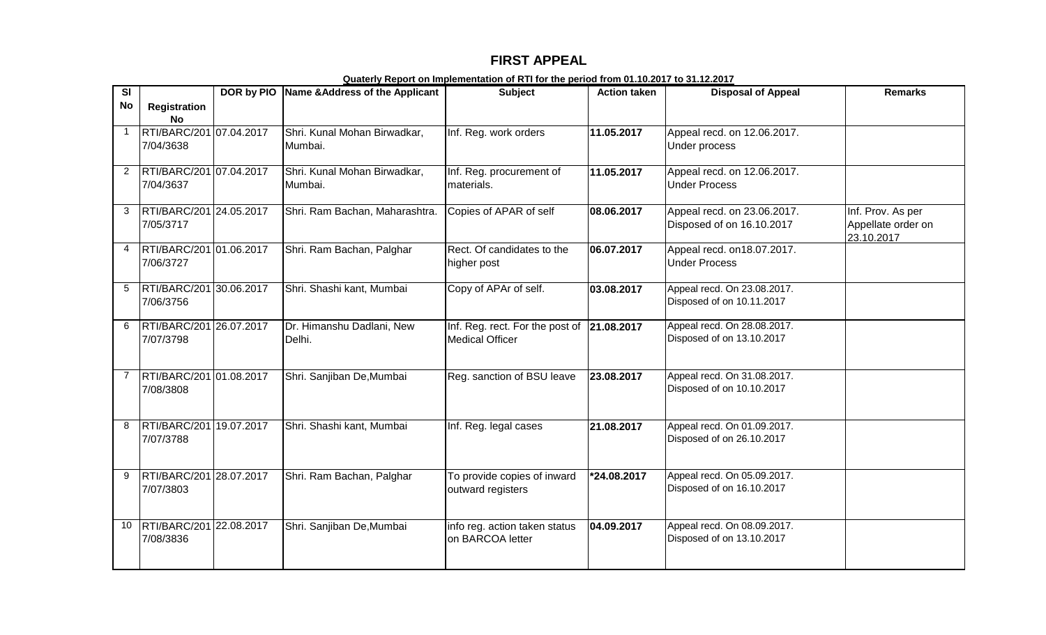## **FIRST APPEAL**

| SI           |                                      | DOR by PIO | Name & Address of the Applicant         | <b>Subject</b>                             | <b>Action taken</b> | <b>Disposal of Appeal</b>                                | <b>Remarks</b>     |
|--------------|--------------------------------------|------------|-----------------------------------------|--------------------------------------------|---------------------|----------------------------------------------------------|--------------------|
| <b>No</b>    | <b>Registration</b>                  |            |                                         |                                            |                     |                                                          |                    |
|              | No                                   |            |                                         |                                            |                     |                                                          |                    |
| $\mathbf{1}$ | RTI/BARC/201 07.04.2017              |            | Shri. Kunal Mohan Birwadkar,            | Inf. Reg. work orders                      | 11.05.2017          | Appeal recd. on 12.06.2017.                              |                    |
|              | 7/04/3638                            |            | Mumbai.                                 |                                            |                     | Under process                                            |                    |
|              |                                      |            |                                         |                                            |                     |                                                          |                    |
|              | RTI/BARC/201 07.04.2017<br>7/04/3637 |            | Shri. Kunal Mohan Birwadkar,<br>Mumbai. | Inf. Reg. procurement of<br>materials.     | 11.05.2017          | Appeal recd. on 12.06.2017.<br><b>Under Process</b>      |                    |
|              |                                      |            |                                         |                                            |                     |                                                          |                    |
| 3            | RTI/BARC/201 24.05.2017              |            | Shri. Ram Bachan, Maharashtra.          | Copies of APAR of self                     | 08.06.2017          | Appeal recd. on 23.06.2017.                              | Inf. Prov. As per  |
|              | 7/05/3717                            |            |                                         |                                            |                     | Disposed of on 16.10.2017                                | Appellate order on |
|              |                                      |            |                                         |                                            |                     |                                                          | 23.10.2017         |
| 4            | RTI/BARC/201 01.06.2017              |            | Shri. Ram Bachan, Palghar               | Rect. Of candidates to the                 | 06.07.2017          | Appeal recd. on 18.07.2017.                              |                    |
|              | 7/06/3727                            |            |                                         | higher post                                |                     | <b>Under Process</b>                                     |                    |
|              |                                      |            |                                         |                                            |                     |                                                          |                    |
| 5            | RTI/BARC/201 30.06.2017<br>7/06/3756 |            | Shri. Shashi kant, Mumbai               | Copy of APAr of self.                      | 03.08.2017          | Appeal recd. On 23.08.2017.<br>Disposed of on 10.11.2017 |                    |
|              |                                      |            |                                         |                                            |                     |                                                          |                    |
| 6            | RTI/BARC/201 26.07.2017              |            | Dr. Himanshu Dadlani, New               | Inf. Reg. rect. For the post of 21.08.2017 |                     | Appeal recd. On 28.08.2017.                              |                    |
|              | 7/07/3798                            |            | Delhi.                                  | <b>Medical Officer</b>                     |                     | Disposed of on 13.10.2017                                |                    |
|              |                                      |            |                                         |                                            |                     |                                                          |                    |
| 7            | RTI/BARC/201 01.08.2017              |            | Shri. Sanjiban De, Mumbai               | Reg. sanction of BSU leave                 | 23.08.2017          | Appeal recd. On 31.08.2017.                              |                    |
|              | 7/08/3808                            |            |                                         |                                            |                     | Disposed of on 10.10.2017                                |                    |
|              |                                      |            |                                         |                                            |                     |                                                          |                    |
|              |                                      |            |                                         |                                            |                     |                                                          |                    |
| 8            | RTI/BARC/201 19.07.2017              |            | Shri. Shashi kant, Mumbai               | Inf. Reg. legal cases                      | 21.08.2017          | Appeal recd. On 01.09.2017.                              |                    |
|              | 7/07/3788                            |            |                                         |                                            |                     | Disposed of on 26.10.2017                                |                    |
|              |                                      |            |                                         |                                            |                     |                                                          |                    |
| 9            | RTI/BARC/201 28.07.2017              |            | Shri. Ram Bachan, Palghar               | To provide copies of inward                | *24.08.2017         | Appeal recd. On 05.09.2017.                              |                    |
|              | 7/07/3803                            |            |                                         | outward registers                          |                     | Disposed of on 16.10.2017                                |                    |
|              |                                      |            |                                         |                                            |                     |                                                          |                    |
|              |                                      |            |                                         |                                            |                     |                                                          |                    |
| 10           | RTI/BARC/201 22.08.2017              |            | Shri. Sanjiban De, Mumbai               | info reg. action taken status              | 04.09.2017          | Appeal recd. On 08.09.2017.<br>Disposed of on 13.10.2017 |                    |
|              | 7/08/3836                            |            |                                         | on BARCOA letter                           |                     |                                                          |                    |
|              |                                      |            |                                         |                                            |                     |                                                          |                    |

**Quaterly Report on Implementation of RTI for the period from 01.10.2017 to 31.12.2017**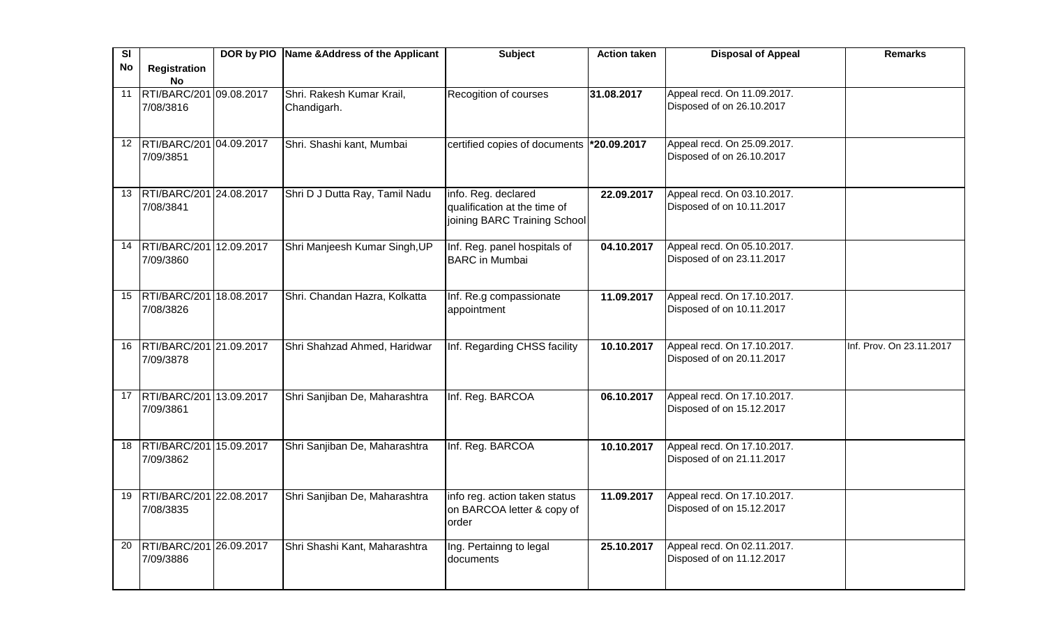| SI        |                            | DOR by PIO Name & Address of the Applicant | <b>Subject</b>                                   | <b>Action taken</b> | <b>Disposal of Appeal</b>                                | <b>Remarks</b>           |
|-----------|----------------------------|--------------------------------------------|--------------------------------------------------|---------------------|----------------------------------------------------------|--------------------------|
| <b>No</b> | <b>Registration</b>        |                                            |                                                  |                     |                                                          |                          |
|           | <b>No</b>                  |                                            |                                                  |                     |                                                          |                          |
| 11        | RTI/BARC/201 09.08.2017    | Shri. Rakesh Kumar Krail,                  | Recogition of courses                            | 31.08.2017          | Appeal recd. On 11.09.2017.                              |                          |
|           | 7/08/3816                  | Chandigarh.                                |                                                  |                     | Disposed of on 26.10.2017                                |                          |
|           |                            |                                            |                                                  |                     |                                                          |                          |
|           | 12 RTI/BARC/201 04.09.2017 | Shri. Shashi kant, Mumbai                  | certified copies of documents <b>*20.09.2017</b> |                     | Appeal recd. On 25.09.2017.                              |                          |
|           | 7/09/3851                  |                                            |                                                  |                     | Disposed of on 26.10.2017                                |                          |
|           |                            |                                            |                                                  |                     |                                                          |                          |
|           |                            |                                            |                                                  |                     |                                                          |                          |
| 13        | RTI/BARC/201 24.08.2017    | Shri D J Dutta Ray, Tamil Nadu             | info. Reg. declared                              | 22.09.2017          | Appeal recd. On 03.10.2017.                              |                          |
|           | 7/08/3841                  |                                            | qualification at the time of                     |                     | Disposed of on 10.11.2017                                |                          |
|           |                            |                                            | joining BARC Training School                     |                     |                                                          |                          |
|           |                            |                                            |                                                  |                     |                                                          |                          |
| 14        | RTI/BARC/201 12.09.2017    | Shri Manjeesh Kumar Singh, UP              | Inf. Reg. panel hospitals of                     | 04.10.2017          | Appeal recd. On 05.10.2017.                              |                          |
|           | 7/09/3860                  |                                            | <b>BARC</b> in Mumbai                            |                     | Disposed of on 23.11.2017                                |                          |
|           |                            |                                            |                                                  |                     |                                                          |                          |
|           | 15 RTI/BARC/201 18.08.2017 | Shri. Chandan Hazra, Kolkatta              | Inf. Re.g compassionate                          | 11.09.2017          | Appeal recd. On 17.10.2017.                              |                          |
|           | 7/08/3826                  |                                            | appointment                                      |                     | Disposed of on 10.11.2017                                |                          |
|           |                            |                                            |                                                  |                     |                                                          |                          |
|           |                            |                                            |                                                  |                     |                                                          |                          |
| 16        | RTI/BARC/201 21.09.2017    | Shri Shahzad Ahmed, Haridwar               | Inf. Regarding CHSS facility                     | 10.10.2017          | Appeal recd. On 17.10.2017.                              | Inf. Prov. On 23.11.2017 |
|           | 7/09/3878                  |                                            |                                                  |                     | Disposed of on 20.11.2017                                |                          |
|           |                            |                                            |                                                  |                     |                                                          |                          |
|           |                            |                                            |                                                  |                     |                                                          |                          |
|           | 17 RTI/BARC/201 13.09.2017 | Shri Sanjiban De, Maharashtra              | Inf. Reg. BARCOA                                 | 06.10.2017          | Appeal recd. On 17.10.2017.<br>Disposed of on 15.12.2017 |                          |
|           | 7/09/3861                  |                                            |                                                  |                     |                                                          |                          |
|           |                            |                                            |                                                  |                     |                                                          |                          |
| 18        | RTI/BARC/201 15.09.2017    | Shri Sanjiban De, Maharashtra              | Inf. Reg. BARCOA                                 | 10.10.2017          | Appeal recd. On 17.10.2017.                              |                          |
|           | 7/09/3862                  |                                            |                                                  |                     | Disposed of on 21.11.2017                                |                          |
|           |                            |                                            |                                                  |                     |                                                          |                          |
|           |                            |                                            |                                                  |                     |                                                          |                          |
| 19        | RTI/BARC/201 22.08.2017    | Shri Sanjiban De, Maharashtra              | info reg. action taken status                    | 11.09.2017          | Appeal recd. On 17.10.2017.                              |                          |
|           | 7/08/3835                  |                                            | on BARCOA letter & copy of                       |                     | Disposed of on 15.12.2017                                |                          |
|           |                            |                                            | order                                            |                     |                                                          |                          |
| 20        | RTI/BARC/201 26.09.2017    | Shri Shashi Kant, Maharashtra              | Ing. Pertainng to legal                          | 25.10.2017          | Appeal recd. On 02.11.2017.                              |                          |
|           | 7/09/3886                  |                                            | documents                                        |                     | Disposed of on 11.12.2017                                |                          |
|           |                            |                                            |                                                  |                     |                                                          |                          |
|           |                            |                                            |                                                  |                     |                                                          |                          |